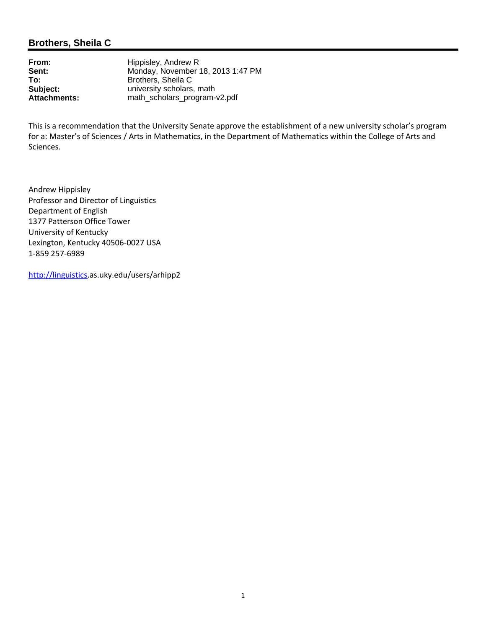## **Brothers, Sheila C**

**From:** Hippisley, Andrew R<br> **Sent:** Monday. November **Sent:** Monday, November 18, 2013 1:47 PM<br> **To:** Brothers. Sheila C **To:** Brothers, Sheila C<br> **Subject:** University scholars **Subject:** university scholars, math<br> **Attachments:** math scholars program-**Attachments:** math\_scholars\_program-v2.pdf

This is a recommendation that the University Senate approve the establishment of a new university scholar's program for a: Master's of Sciences / Arts in Mathematics, in the Department of Mathematics within the College of Arts and Sciences.

Andrew Hippisley Professor and Director of Linguistics Department of English 1377 Patterson Office Tower University of Kentucky Lexington, Kentucky 40506‐0027 USA 1‐859 257‐6989

http://linguistics.as.uky.edu/users/arhipp2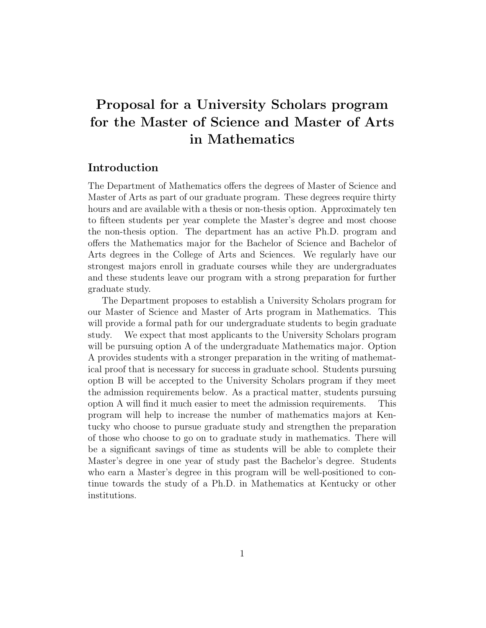# Proposal for a University Scholars program for the Master of Science and Master of Arts in Mathematics

## Introduction

The Department of Mathematics offers the degrees of Master of Science and Master of Arts as part of our graduate program. These degrees require thirty hours and are available with a thesis or non-thesis option. Approximately ten to fifteen students per year complete the Master's degree and most choose the non-thesis option. The department has an active Ph.D. program and offers the Mathematics major for the Bachelor of Science and Bachelor of Arts degrees in the College of Arts and Sciences. We regularly have our strongest majors enroll in graduate courses while they are undergraduates and these students leave our program with a strong preparation for further graduate study.

The Department proposes to establish a University Scholars program for our Master of Science and Master of Arts program in Mathematics. This will provide a formal path for our undergraduate students to begin graduate study. We expect that most applicants to the University Scholars program will be pursuing option A of the undergraduate Mathematics major. Option A provides students with a stronger preparation in the writing of mathematical proof that is necessary for success in graduate school. Students pursuing option B will be accepted to the University Scholars program if they meet the admission requirements below. As a practical matter, students pursuing option A will find it much easier to meet the admission requirements. This program will help to increase the number of mathematics majors at Kentucky who choose to pursue graduate study and strengthen the preparation of those who choose to go on to graduate study in mathematics. There will be a significant savings of time as students will be able to complete their Master's degree in one year of study past the Bachelor's degree. Students who earn a Master's degree in this program will be well-positioned to continue towards the study of a Ph.D. in Mathematics at Kentucky or other institutions.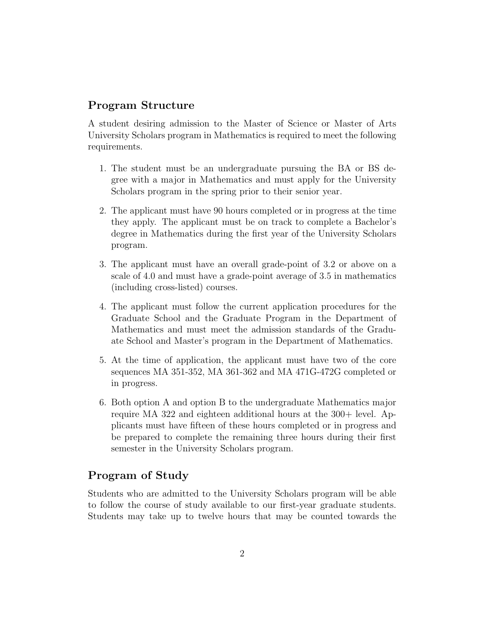## Program Structure

A student desiring admission to the Master of Science or Master of Arts University Scholars program in Mathematics is required to meet the following requirements.

- 1. The student must be an undergraduate pursuing the BA or BS degree with a major in Mathematics and must apply for the University Scholars program in the spring prior to their senior year.
- 2. The applicant must have 90 hours completed or in progress at the time they apply. The applicant must be on track to complete a Bachelor's degree in Mathematics during the first year of the University Scholars program.
- 3. The applicant must have an overall grade-point of 3.2 or above on a scale of 4.0 and must have a grade-point average of 3.5 in mathematics (including cross-listed) courses.
- 4. The applicant must follow the current application procedures for the Graduate School and the Graduate Program in the Department of Mathematics and must meet the admission standards of the Graduate School and Master's program in the Department of Mathematics.
- 5. At the time of application, the applicant must have two of the core sequences MA 351-352, MA 361-362 and MA 471G-472G completed or in progress.
- 6. Both option A and option B to the undergraduate Mathematics major require MA 322 and eighteen additional hours at the 300+ level. Applicants must have fifteen of these hours completed or in progress and be prepared to complete the remaining three hours during their first semester in the University Scholars program.

# Program of Study

Students who are admitted to the University Scholars program will be able to follow the course of study available to our first-year graduate students. Students may take up to twelve hours that may be counted towards the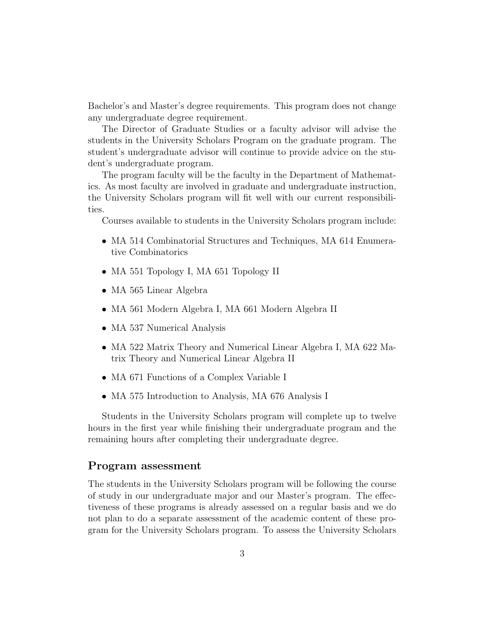Bachelor's and Master's degree requirements. This program does not change any undergraduate degree requirement.

The Director of Graduate Studies or a faculty advisor will advise the students in the University Scholars Program on the graduate program. The student's undergraduate advisor will continue to provide advice on the student's undergraduate program.

The program faculty will be the faculty in the Department of Mathematics. As most faculty are involved in graduate and undergraduate instruction, the University Scholars program will fit well with our current responsibilities.

Courses available to students in the University Scholars program include:

- MA 514 Combinatorial Structures and Techniques, MA 614 Enumerative Combinatorics
- MA 551 Topology I, MA 651 Topology II
- MA 565 Linear Algebra
- MA 561 Modern Algebra I, MA 661 Modern Algebra II
- MA 537 Numerical Analysis
- MA 522 Matrix Theory and Numerical Linear Algebra I, MA 622 Matrix Theory and Numerical Linear Algebra II
- MA 671 Functions of a Complex Variable I
- MA 575 Introduction to Analysis, MA 676 Analysis I

Students in the University Scholars program will complete up to twelve hours in the first year while finishing their undergraduate program and the remaining hours after completing their undergraduate degree.

#### Program assessment

The students in the University Scholars program will be following the course of study in our undergraduate major and our Master's program. The effectiveness of these programs is already assessed on a regular basis and we do not plan to do a separate assessment of the academic content of these program for the University Scholars program. To assess the University Scholars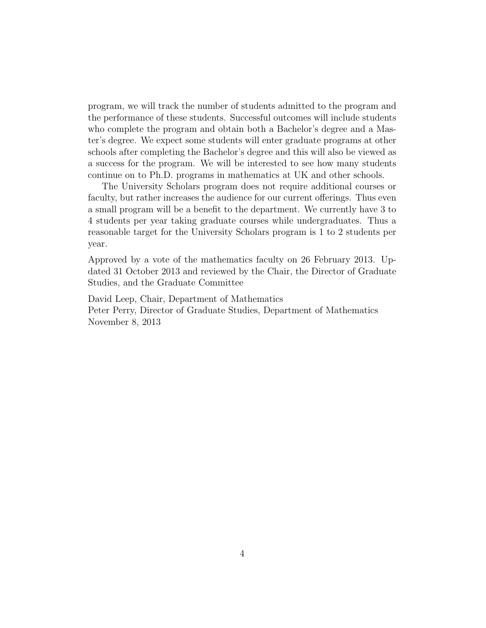program, we will track the number of students admitted to the program and the performance of these students. Successful outcomes will include students who complete the program and obtain both a Bachelor's degree and a Master's degree. We expect some students will enter graduate programs at other schools after completing the Bachelor's degree and this will also be viewed as a success for the program. We will be interested to see how many students continue on to Ph.D. programs in mathematics at UK and other schools.

The University Scholars program does not require additional courses or faculty, but rather increases the audience for our current offerings. Thus even a small program will be a benefit to the department. We currently have 3 to 4 students per year taking graduate courses while undergraduates. Thus a reasonable target for the University Scholars program is 1 to 2 students per year.

Approved by a vote of the mathematics faculty on 26 February 2013. Updated 31 October 2013 and reviewed by the Chair, the Director of Graduate Studies, and the Graduate Committee

David Leep, Chair, Department of Mathematics Peter Perry, Director of Graduate Studies, Department of Mathematics November 8, 2013